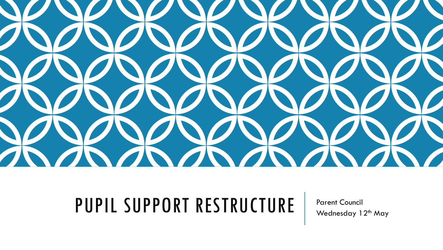

### PUPIL SUPPORT RESTRUCTURE Parent Council

Wednesday 12<sup>th</sup> May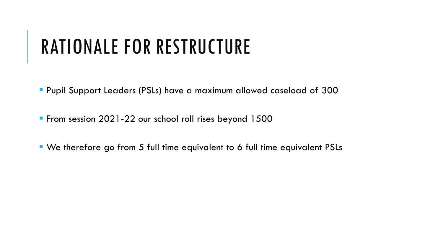## RATIONALE FOR RESTRUCTURE

▪ Pupil Support Leaders (PSLs) have a maximum allowed caseload of 300

**From session 2021-22 our school roll rises beyond 1500** 

■ We therefore go from 5 full time equivalent to 6 full time equivalent PSLs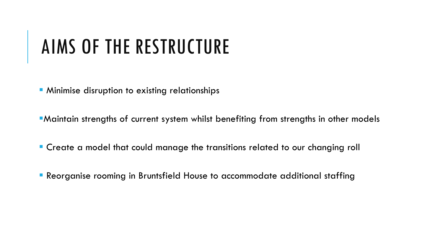## AIMS OF THE RESTRUCTURE

**E** Minimise disruption to existing relationships

**E**Maintain strengths of current system whilst benefiting from strengths in other models

- Create a model that could manage the transitions related to our changing roll
- **Reorganise rooming in Bruntsfield House to accommodate additional staffing**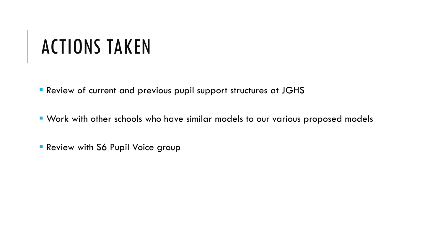## ACTIONS TAKEN

**E** Review of current and previous pupil support structures at JGHS

▪ Work with other schools who have similar models to our various proposed models

**Review with S6 Pupil Voice group**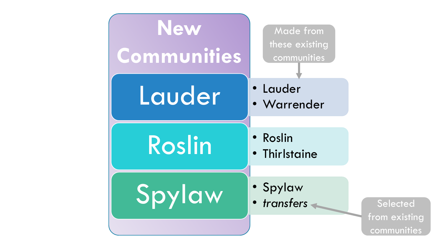

**Selected** from existing communities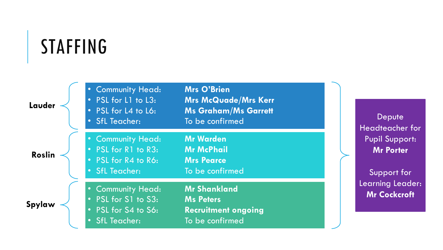### STAFFING

| Lauder        | • Community Head:<br>• PSL for L1 to L3:<br>• PSL for L4 to L6:<br>• SfL Teacher:                   | <b>Mrs O'Brien</b><br><b>Mrs McQuade/Mrs Kerr</b><br><b>Ms Graham/Ms Garrett</b><br>To be confirmed |
|---------------|-----------------------------------------------------------------------------------------------------|-----------------------------------------------------------------------------------------------------|
| <b>Roslin</b> | • Community Head:<br>• PSL for R1 to R3:<br>• PSL for R4 to R6:<br>• SfL Teacher:                   | <b>Mr Warden</b><br><b>Mr McPhail</b><br><b>Mrs Pearce</b><br>To be confirmed                       |
| Spylaw        | • Community Head:<br>• PSL for S1 to S3:<br>• PSL for S4 to S6:<br><b>SfL Teacher:</b><br>$\bullet$ | <b>Mr Shankland</b><br><b>Ms Peters</b><br><b>Recruitment ongoing</b><br>To be confirmed            |

Depute Headteacher for Pupil Support: **Mr Porter**

Support for Learning Leader: **Mr Cockcroft**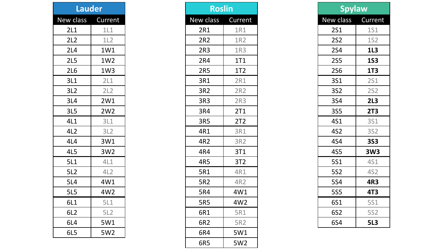| Lauder          |         |  |
|-----------------|---------|--|
| New class       | Current |  |
| 2L1             | 1L1     |  |
| 2L2             | 1L2     |  |
| 2L4             | 1W1     |  |
| 2L5             | 1W2     |  |
| 2L6             | 1W3     |  |
| 3L1             | 2L1     |  |
| 3L2             | 2L2     |  |
| 3L4             | 2W1     |  |
| 3L5             | 2W2     |  |
| 4L1             | 3L1     |  |
| 4L2             | 3L2     |  |
| 4L4             | 3W1     |  |
| 4L5             | 3W2     |  |
| 5L1             | 4L1     |  |
| 5L2             | 4L2     |  |
| <b>5L4</b>      | 4W1     |  |
| <b>5L5</b>      | 4W2     |  |
| 6L1             | 5L1     |  |
| 6L <sub>2</sub> | 5L2     |  |
| 6L4             | 5W1     |  |
| 6L5             | 5W2     |  |

|                   | <b>Roslin</b>   |  |  |
|-------------------|-----------------|--|--|
| New class Current |                 |  |  |
| 2R1               | 1R1             |  |  |
| 2R2               | 1R2             |  |  |
| 2R3               | 1R3             |  |  |
| 2R4               | 1T1             |  |  |
| 2R5               | 1T <sub>2</sub> |  |  |
| 3R1               | 2R1             |  |  |
| 3R2               | 2R2             |  |  |
| 3R3               | 2R <sub>3</sub> |  |  |
| 3R4               | 2T1             |  |  |
| 3R5               | 2T <sub>2</sub> |  |  |
| 4R1               | 3R1             |  |  |
| 4R2               | 3R2             |  |  |
| 4R4               | 3T1             |  |  |
| 4R5               | 3T <sub>2</sub> |  |  |
| 5R1               | 4R1             |  |  |
| 5R2               | 4R2             |  |  |
| 5R4               | 4W1             |  |  |
| <b>5R5</b>        | 4W2             |  |  |
| 6R1               | 5R1             |  |  |
| 6R2               | 5R2             |  |  |
| 6R4               | 5W1             |  |  |
| 6R5               | 5W2             |  |  |

| <b>Spylaw</b> |                 |  |
|---------------|-----------------|--|
| New class     | Current         |  |
| <b>2S1</b>    | <b>1S1</b>      |  |
| <b>2S2</b>    | <b>1S2</b>      |  |
| <b>2S4</b>    | 1L <sub>3</sub> |  |
| <b>2S5</b>    | <b>1S3</b>      |  |
| <b>2S6</b>    | <b>1T3</b>      |  |
| <b>3S1</b>    | <b>2S1</b>      |  |
| <b>3S2</b>    | <b>2S2</b>      |  |
| <b>3S4</b>    | 2L3             |  |
| <b>3S5</b>    | <b>2T3</b>      |  |
| 4S1           | <b>3S1</b>      |  |
| <b>4S2</b>    | <b>3S2</b>      |  |
| <b>4S4</b>    | <b>3S3</b>      |  |
| <b>4S5</b>    | 3W3             |  |
| <b>5S1</b>    | <b>4S1</b>      |  |
| <b>5S2</b>    | <b>4S2</b>      |  |
| <b>5S4</b>    | <b>4R3</b>      |  |
| <b>5S5</b>    | <b>4T3</b>      |  |
| 6S1           | <b>5S1</b>      |  |
| <b>6S2</b>    | <b>5S2</b>      |  |
| 6S4           | <b>5L3</b>      |  |